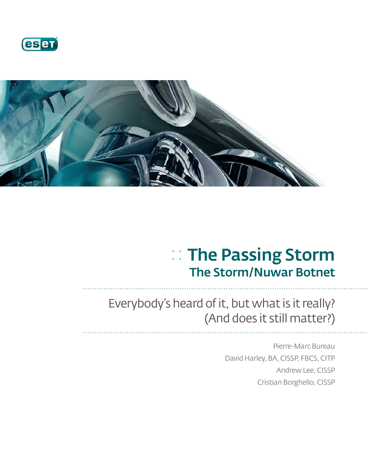



# :: The Passing Storm The Storm/Nuwar Botnet

## Everybody's heard of it, but what is it really? (And does it still matter?)

Pierre-Marc Bureau David Harley, BA, CISSP, FBCS, CITP Andrew Lee, CISSP Cristian Borghello, CISSP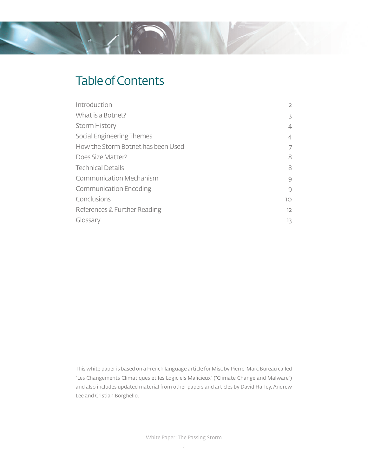## Table of Contents

| Introduction                       | $\overline{2}$ |
|------------------------------------|----------------|
| What is a Botnet?                  | 3              |
| <b>Storm History</b>               | 4              |
| Social Engineering Themes          | 4              |
| How the Storm Botnet has been Used | 7              |
| Does Size Matter?                  | 8              |
| <b>Technical Details</b>           | 8              |
| <b>Communication Mechanism</b>     | 9              |
| <b>Communication Encoding</b>      | 9              |
| Conclusions                        | 10             |
| References & Further Reading       | 12             |
| Glossary                           | 13             |

This white paper is based on a French language article for Misc by Pierre-Marc Bureau called "Les Changements Climatiques et les Logiciels Malicieux" ("Climate Change and Malware") and also includes updated material from other papers and articles by David Harley, Andrew Lee and Cristian Borghello.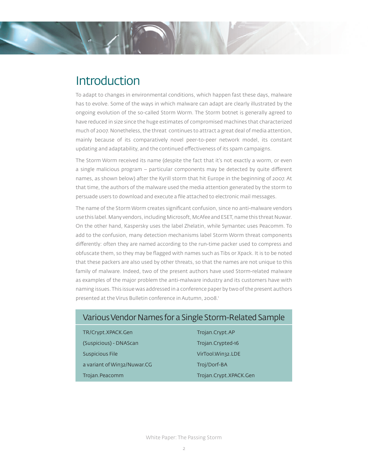### **Introduction**

To adapt to changes in environmental conditions, which happen fast these days, malware has to evolve. Some of the ways in which malware can adapt are clearly illustrated by the ongoing evolution of the so-called Storm Worm. The Storm botnet is generally agreed to have reduced in size since the huge estimates of compromised machines that characterized much of 2007. Nonetheless, the threat continues to attract a great deal of media attention, mainly because of its comparatively novel peer-to-peer network model, its constant updating and adaptability, and the continued effectiveness of its spam campaigns.

The Storm Worm received its name (despite the fact that it's not exactly a worm, or even a single malicious program  $-$  particular components may be detected by quite different names, as shown below) after the Kyrill storm that hit Europe in the beginning of 2007. At that time, the authors of the malware used the media attention generated by the storm to persuade users to download and execute a file attached to electronic mail messages.

The name of the Storm Worm creates significant confusion, since no anti-malware vendors use this label. Many vendors, including Microsoft, McAfee and ESET, name this threat Nuwar. On the other hand, Kaspersky uses the label Zhelatin, while Symantec uses Peacomm. To add to the confusion, many detection mechanisms label Storm Worm threat components differently: often they are named according to the run-time packer used to compress and obfuscate them, so they may be flagged with names such as Tibs or Xpack. It is to be noted that these packers are also used by other threats, so that the names are not unique to this family of malware. Indeed, two of the present authors have used Storm-related malware as examples of the major problem the anti-malware industry and its customers have with naming issues. This issue was addressed in a conference paper by two of the present authors presented at the Virus Bulletin conference in Autumn, 2008.<sup>1</sup>

#### Various Vendor Names for a Single Storm-Related Sample

TR/Crypt.XPACK.Gen TR/Crypt.AP (Suspicious) - DNAScan Trojan.Crypted-16 Suspicious File VirTool.Win32.LDE a variant of Win32/Nuwar.CG Troj/Dorf-BA Trojan.Peacomm Trojan.Crypt.XPACK.Gen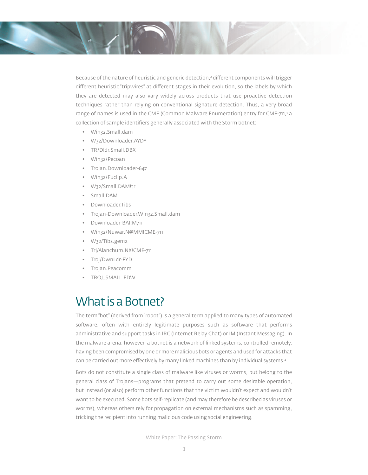Because of the nature of heuristic and generic detection,<sup>2</sup> different components will trigger different heuristic "tripwires" at different stages in their evolution, so the labels by which they are detected may also vary widely across products that use proactive detection techniques rather than relying on conventional signature detection. Thus, a very broad range of names is used in the CME (Common Malware Enumeration) entry for CME-711,3 a collection of sample identifiers generally associated with the Storm botnet:

- Win32.Small.dam
- W32/Downloader.AYDY
- TR/Dldr.Small.DBX
- Win32/Pecoan
- Trojan.Downloader-647
- Win32/Fuclip.A
- W32/Small.DAM!tr
- Small.DAM
- Downloader.Tibs
- Trojan-Downloader.Win32.Small.dam
- Downloader-BAI!M711
- Win32/Nuwar.N@MM!CME-711
- W32/Tibs.gen12
- Trj/Alanchum.NX!CME-711
- Troj/DwnLdr-FYD
- Trojan.Peacomm
- TROJ\_SMALL.EDW

#### What is a Botnet?

The term "bot" (derived from "robot") is a general term applied to many types of automated software, often with entirely legitimate purposes such as software that performs administrative and support tasks in IRC (Internet Relay Chat) or IM (Instant Messaging). In the malware arena, however, a botnet is a network of linked systems, controlled remotely, having been compromised by one or more malicious bots or agents and used for attacks that can be carried out more effectively by many linked machines than by individual systems.<sup>4</sup>

Bots do not constitute a single class of malware like viruses or worms, but belong to the general class of Trojans—programs that pretend to carry out some desirable operation, but instead (or also) perform other functions that the victim wouldn't expect and wouldn't want to be executed. Some bots self-replicate (and may therefore be described as viruses or worms), whereas others rely for propagation on external mechanisms such as spamming, tricking the recipient into running malicious code using social engineering.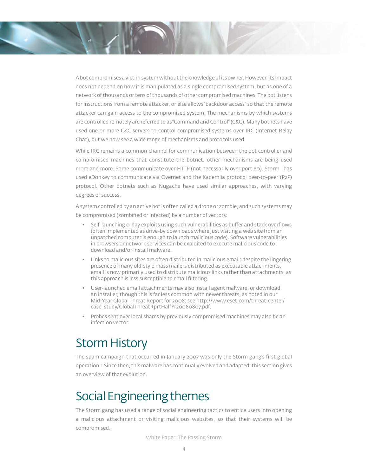A bot compromises a victim system without the knowledge of its owner. However, its impact does not depend on how it is manipulated as a single compromised system, but as one of a network of thousands or tens of thousands of other compromised machines. The bot listens for instructions from a remote attacker, or else allows "backdoor access" so that the remote attacker can gain access to the compromised system. The mechanisms by which systems are controlled remotely are referred to as "Command and Control" (C&C). Many botnets have used one or more C&C servers to control compromised systems over IRC (Internet Relay Chat), but we now see a wide range of mechanisms and protocols used.

While IRC remains a common channel for communication between the bot controller and compromised machines that constitute the botnet, other mechanisms are being used more and more. Some communicate over HTTP (not necessarily over port 80). Storm has used eDonkey to communicate via Overnet and the Kademlia protocol peer-to-peer (P2P) protocol. Other botnets such as Nugache have used similar approaches, with varying degrees of success.

A system controlled by an active bot is often called a drone or zombie, and such systems may be compromised (zombified or infected) by a number of vectors:

- Self-launching o-day exploits using such vulnerabilities as buffer and stack overflows (often implemented as drive-by downloads where just visiting a web site from an unpatched computer is enough to launch malicious code). Software vulnerabilities in browsers or network services can be exploited to execute malicious code to download and/or install malware.
- Links to malicious sites are often distributed in malicious email: despite the lingering presence of many old-style mass mailers distributed as executable attachments, email is now primarily used to distribute malicious links rather than attachments, as this approach is less susceptible to email filtering.
- User-launched email attachments may also install agent malware, or download an installer, though this is far less common with newer threats, as noted in our Mid-Year Global Threat Report for 2008: see http://www.eset.com/threat-center/ case\_study/GlobalThreatRprtHalfYr20080807.pdf.
- Probes sent over local shares by previously compromised machines may also be an infection vector.

### Storm History

The spam campaign that occurred in January 2007 was only the Storm gang's first global operation.5 Since then, this malware has continually evolved and adapted: this section gives an overview of that evolution.

### Social Engineering themes

The Storm gang has used a range of social engineering tactics to entice users into opening a malicious attachment or visiting malicious websites, so that their systems will be compromised.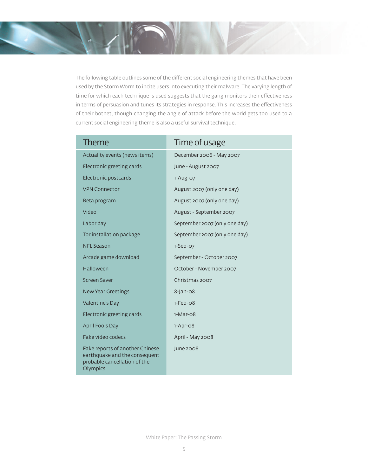The following table outlines some of the different social engineering themes that have been used by the Storm Worm to incite users into executing their malware. The varying length of time for which each technique is used suggests that the gang monitors their effectiveness in terms of persuasion and tunes its strategies in response. This increases the effectiveness of their botnet, though changing the angle of attack before the world gets too used to a current social engineering theme is also a useful survival technique.

| <b>Theme</b>                                                                                                 | Time of usage                 |
|--------------------------------------------------------------------------------------------------------------|-------------------------------|
| Actuality events (news items)                                                                                | December 2006 - May 2007      |
| Electronic greeting cards                                                                                    | June - August 2007            |
| Electronic postcards                                                                                         | 1-Aug-07                      |
| <b>VPN Connector</b>                                                                                         | August 2007 (only one day)    |
| Beta program                                                                                                 | August 2007 (only one day)    |
| Video                                                                                                        | August - September 2007       |
| Labor day                                                                                                    | September 2007 (only one day) |
| Tor installation package                                                                                     | September 2007 (only one day) |
| <b>NFL Season</b>                                                                                            | $1-Sep-07$                    |
| Arcade game download                                                                                         | September - October 2007      |
| Halloween                                                                                                    | October - November 2007       |
| Screen Saver                                                                                                 | Christmas 2007                |
| <b>New Year Greetings</b>                                                                                    | 8-Jan-08                      |
| Valentine's Day                                                                                              | $1-Feb-08$                    |
| Electronic greeting cards                                                                                    | $1-Mar-08$                    |
| <b>April Fools Day</b>                                                                                       | $1-Apr-O8$                    |
| Fake video codecs                                                                                            | April - May 2008              |
| Fake reports of another Chinese<br>earthquake and the consequent<br>probable cancellation of the<br>Olympics | June 2008                     |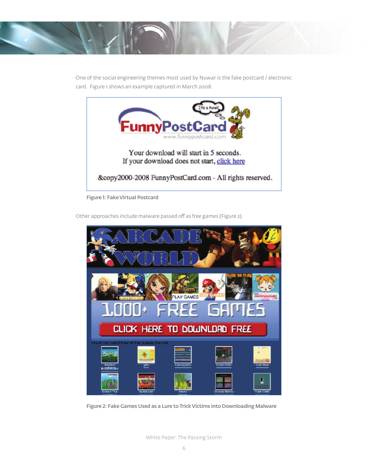

One of the social engineering themes most used by Nuwar is the fake postcard / electronic card. Figure 1 shows an example captured in March 2008.



Figure 1: Fake Virtual Postcard

Other approaches include malware passed off as free games (Figure 2).



Figure 2: Fake Games Used as a Lure to Trick Victims into Downloading Malware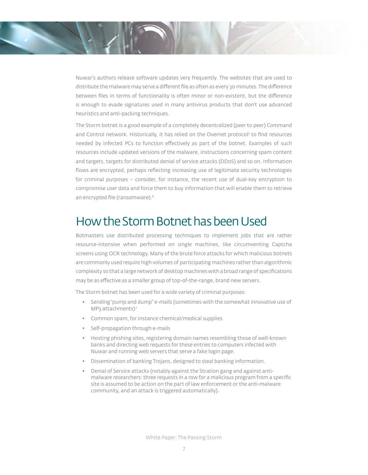Nuwar's authors release software updates very frequently. The websites that are used to distribute the malware may serve a different file as often as every 30 minutes. The difference between files in terms of functionality is often minor or non-existent, but the difference is enough to evade signatures used in many antivirus products that don't use advanced heuristics and anti-packing techniques.

The Storm botnet is a good example of a completely decentralized (peer to peer) Command and Control network. Historically, it has relied on the Overnet protocol<sup>5</sup> to find resources needed by infected PCs to function effectively as part of the botnet. Examples of such resources include updated versions of the malware, instructions concerning spam content and targets, targets for distributed denial of service attacks (DDoS) and so on. Information flows are encrypted, perhaps reflecting increasing use of legitimate security technologies for criminal purposes – consider, for instance, the recent use of dual-key encryption to compromise user data and force them to buy information that will enable them to retrieve an encrypted file (ransomware).<sup>6</sup>

#### How the Storm Botnet has been Used

Botmasters use distributed processing techniques to implement jobs that are rather resource-intensive when performed on single machines, like circumventing Captcha screens using OCR technology. Many of the brute force attacks for which malicious botnets are commonly used require high volumes of participating machines rather than algorithmic complexity so that a large network of desktop machines with a broad range of specifications may be as effective as a smaller group of top-of-the-range, brand new servers.

The Storm botnet has been used for a wide variety of criminal purposes:

- Sending "pump and dump" e-mails (sometimes with the somewhat innovative use of MP<sub>3</sub> attachments)<sup>7</sup>
- Common spam, for instance chemical/medical supplies
- Self-propagation through e-mails
- Hosting phishing sites, registering domain names resembling those of well-known banks and directing web requests for these entries to computers infected with Nuwar and running web servers that serve a fake login page.
- Dissemination of banking Trojans, designed to steal banking information.
- Denial of Service attacks (notably against the Stration gang and against antimalware researchers: three requests in a row for a malicious program from a specific site is assumed to be action on the part of law enforcement or the anti-malware community, and an attack is triggered automatically).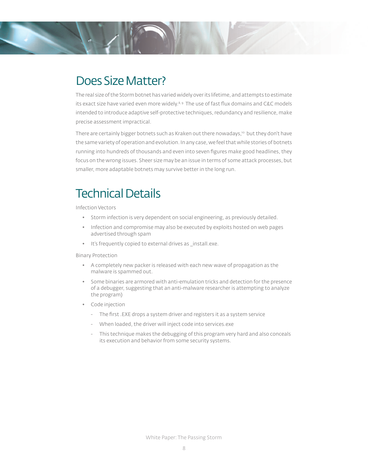### Does Size Matter?

The real size of the Storm botnet has varied widely over its lifetime, and attempts to estimate its exact size have varied even more widely. $8.9$  The use of fast flux domains and C&C models intended to introduce adaptive self-protective techniques, redundancy and resilience, make precise assessment impractical.

There are certainly bigger botnets such as Kraken out there nowadays,<sup>10</sup> but they don't have the same variety of operation and evolution. In any case, we feel that while stories of botnets running into hundreds of thousands and even into seven figures make good headlines, they focus on the wrong issues. Sheer size may be an issue in terms of some attack processes, but smaller, more adaptable botnets may survive better in the long run.

#### Technical Details

Infection Vectors

- Storm infection is very dependent on social engineering, as previously detailed.
- Infection and compromise may also be executed by exploits hosted on web pages advertised through spam
- It's frequently copied to external drives as \_install.exe.

Binary Protection

- A completely new packer is released with each new wave of propagation as the malware is spammed out.
- Some binaries are armored with anti-emulation tricks and detection for the presence of a debugger, suggesting that an anti-malware researcher is attempting to analyze the program)
- Code injection
	- The first .EXE drops a system driver and registers it as a system service
	- When loaded, the driver will inject code into services.exe
	- This technique makes the debugging of this program very hard and also conceals its execution and behavior from some security systems.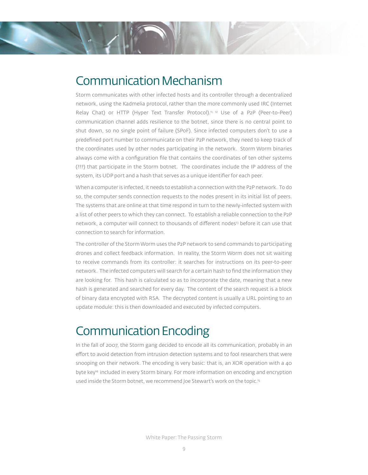### Communication Mechanism

Storm communicates with other infected hosts and its controller through a decentralized network, using the Kadmelia protocol, rather than the more commonly used IRC (Internet Relay Chat) or HTTP (Hyper Text Transfer Protocol).<sup>11, 12</sup> Use of a P2P (Peer-to-Peer) communication channel adds resilience to the botnet, since there is no central point to shut down, so no single point of failure (SPoF). Since infected computers don't to use a predefined port number to communicate on their P2P network, they need to keep track of the coordinates used by other nodes participating in the network. Storm Worm binaries always come with a configuration file that contains the coordinates of ten other systems (???) that participate in the Storm botnet. The coordinates include the IP address of the system, its UDP port and a hash that serves as a unique identifier for each peer.

When a computer is infected, it needs to establish a connection with the P2P network. To do so, the computer sends connection requests to the nodes present in its initial list of peers. The systems that are online at that time respond in turn to the newly-infected system with a list of other peers to which they can connect. To establish a reliable connection to the P2P network, a computer will connect to thousands of different nodes<sup>13</sup> before it can use that connection to search for information.

The controller of the Storm Worm uses the P2P network to send commands to participating drones and collect feedback information. In reality, the Storm Worm does not sit waiting to receive commands from its controller: it searches for instructions on its peer-to-peer network. The infected computers will search for a certain hash to find the information they are looking for. This hash is calculated so as to incorporate the date, meaning that a new hash is generated and searched for every day. The content of the search request is a block of binary data encrypted with RSA. The decrypted content is usually a URL pointing to an update module: this is then downloaded and executed by infected computers.

#### Communication Encoding

In the fall of 2007, the Storm gang decided to encode all its communication, probably in an effort to avoid detection from intrusion detection systems and to fool researchers that were snooping on their network. The encoding is very basic: that is, an XOR operation with a 40 byte key<sup>14</sup> included in every Storm binary. For more information on encoding and encryption used inside the Storm botnet, we recommend Joe Stewart's work on the topic.15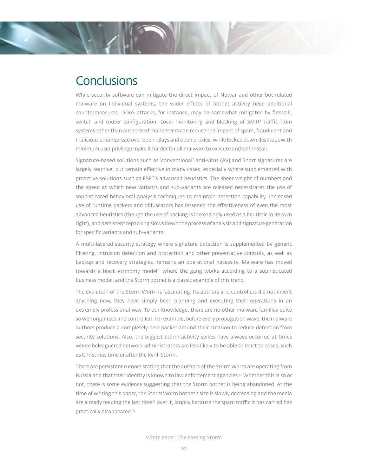### **Conclusions**

While security software can mitigate the direct impact of Nuwar and other bot-related malware on individual systems, the wider effects of botnet activity need additional countermeasures. DDoS attacks, for instance, may be somewhat mitigated by firewall, switch and router configuration. Local monitoring and blocking of SMTP traffic from systems other than authorized mail servers can reduce the impact of spam, fraudulent and malicious email spread over open relays and open proxies, while locked down desktops with minimum user privilege make it harder for all malware to execute and self-install.

Signature-based solutions such as "conventional" anti-virus (AV) and Snort signatures are largely reactive, but remain effective in many cases, especially where supplemented with proactive solutions such as ESET's advanced heuristics. The sheer weight of numbers and the speed at which new variants and sub-variants are released necessitates the use of sophisticated behavioral analysis techniques to maintain detection capability. Increased use of runtime packers and obfuscators has lessened the effectiveness of even the most advanced heuristics (though the use of packing is increasingly used as a heuristic in its own right), and persistent repacking slows down the process of analysis and signature generation for specific variants and sub-variants.

A multi-layered security strategy where signature detection is supplemented by generic filtering, intrusion detection and protection and other preventative controls, as well as backup and recovery strategies, remains an operational necessity. Malware has moved towards a black economy model<sup>16</sup> where the gang works according to a sophisticated business model, and the Storm botnet is a classic example of this trend.

The evolution of the Storm Worm is fascinating. Its authors and controllers did not invent anything new, they have simply been planning and executing their operations in an extremely professional way. To our knowledge, there are no other malware families quite so well organized and controlled. For example, before every propagation wave, the malware authors produce a completely new packer around their creation to reduce detection from security solutions. Also, the biggest Storm activity spikes have always occurred at times where beleaguered network administrators are less likely to be able to react to crises, such as Christmas time or after the Kyrill Storm.

There are persistent rumors stating that the authors of the Storm Worm are operating from Russia and that their identity is known to law enforcement agencies.<sup>17</sup> Whether this is so or not, there is some evidence suggesting that the Storm botnet is being abandoned. At the time of writing this paper, the Storm Worm botnet's size is slowly decreasing and the media are already reading the last rites<sup>18</sup> over it, largely because the spam traffic it has carried has practically disappeared.19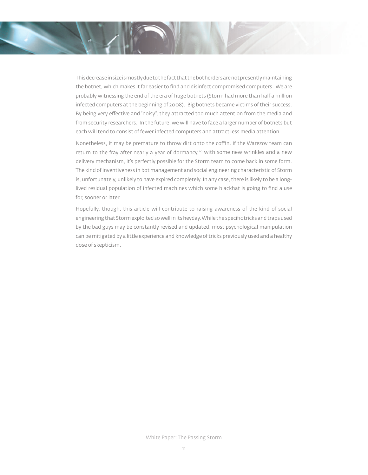This decrease in size is mostly due to the fact that the bot herders are not presently maintaining the botnet, which makes it far easier to find and disinfect compromised computers. We are probably witnessing the end of the era of huge botnets (Storm had more than half a million infected computers at the beginning of 2008). Big botnets became victims of their success. By being very effective and "noisy", they attracted too much attention from the media and from security researchers. In the future, we will have to face a larger number of botnets but each will tend to consist of fewer infected computers and attract less media attention.

Nonetheless, it may be premature to throw dirt onto the coffin. If the Warezov team can return to the fray after nearly a year of dormancy, $2^{\circ}$  with some new wrinkles and a new delivery mechanism, it's perfectly possible for the Storm team to come back in some form. The kind of inventiveness in bot management and social engineering characteristic of Storm is, unfortunately, unlikely to have expired completely. In any case, there is likely to be a longlived residual population of infected machines which some blackhat is going to find a use for, sooner or later.

Hopefully, though, this article will contribute to raising awareness of the kind of social engineering that Storm exploited so well in its heyday. While the specific tricks and traps used by the bad guys may be constantly revised and updated, most psychological manipulation can be mitigated by a little experience and knowledge of tricks previously used and a healthy dose of skepticism.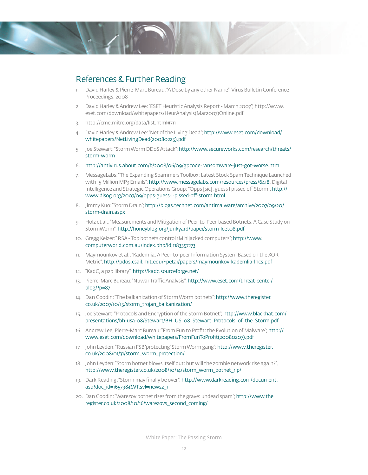

#### References & Further Reading

- 1. David Harley & Pierre-Marc Bureau: "A Dose by any other Name"; Virus Bulletin Conference Proceedings, 2008
- 2. David Harley & Andrew Lee: "ESET Heuristic Analysis Report March 2007"; http://www. eset.com/download/whitepapers/HeurAnalysis(Mar2007)Online.pdf
- 3. http://cme.mitre.org/data/list.html#711
- 4. David Harley & Andrew Lee: "Net of the Living Dead"; http://www.eset.com/download/ whitepapers/NetLivingDead(20080225).pdf
- 5. Joe Stewart: "Storm Worm DDoS Attack"; http://www.secureworks.com/research/threats/ storm-worm
- 6. http://antivirus.about.com/b/2008/06/09/gpcode-ransomware-just-got-worse.htm
- 7. MessageLabs: "The Expanding Spammers Toolbox: Latest Stock Spam Technique Launched with 15 Million MP3 Emails"; http://www.messagelabs.com/resources/press/6418. Digital Intelligence and Strategic Operations Group: "Opps [sic], guess I pissed off Storm!, http:// www.disog.org/2007/09/opps-guess-i-pissed-off -storm.html
- 8. Jimmy Kuo: "Storm Drain"; http://blogs.technet.com/antimalware/archive/2007/09/20/ storm-drain.aspx
- 9. Holz et al.: "Measurements and Mitigation of Peer-to-Peer-based Botnets: A Case Study on StormWorm"; http://honeyblog.org/junkyard/paper/storm-leet08.pdf
- 10. Gregg Keizer:" RSA Top botnets control 1M hijacked computers"; http://www. computerworld.com.au/index.php/id;1183357273
- 11. Maymounkov et al.: "Kademlia: A Peer-to-peer Information System Based on the XOR Metric"; http://pdos.csail.mit.edu/~petar/papers/maymounkov-kademlia-lncs.pdf
- 12. "KadC, a p2p library"; http://kadc.sourceforge.net/
- 13. Pierre-Marc Bureau: "Nuwar Traffic Analysis"; http://www.eset.com/threat-center/ blog/?p=87
- 14. Dan Goodin: "The balkanization of Storm Worm botnets"; http://www.theregister. co.uk/2007/10/15/storm\_trojan\_balkanization/
- 15. Joe Stewart: "Protocols and Encryption of the Storm Botnet"; http://www.blackhat.com/ presentations/bh-usa-08/Stewart/BH\_US\_08\_Stewart\_Protocols\_of\_the\_Storm.pdf
- 16. Andrew Lee, Pierre-Marc Bureau: "From Fun to Profit: the Evolution of Malware"; http:// www.eset.com/download/whitepapers/FromFunToProfit(20080207).pdf
- 17. John Leyden: "Russian FSB 'protecting' Storm Worm gang"; http://www.theregister. co.uk/2008/01/31/storm\_worm\_protection/
- 18. John Leyden: "Storm botnet blows itself out: but will the zombie network rise again?", http://www.theregister.co.uk/2008/10/14/storm\_worm\_botnet\_rip/
- 19. Dark Reading: "Storm may finally be over"; http://www.darkreading.com/document. asp?doc\_id=165798&WT.svl=news2\_1
- 20. Dan Goodin: "Warezov botnet rises from the grave: undead spam"; http://www.the register.co.uk/2008/10/16/warezovs\_second\_coming/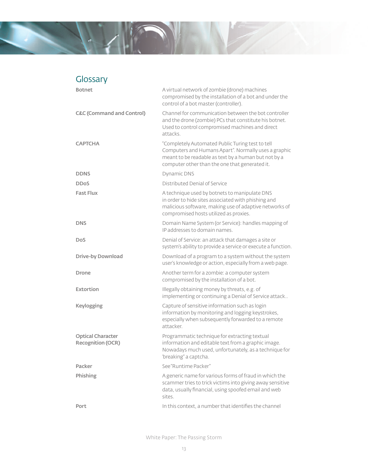

#### Glossary

| <b>Botnet</b>                                        | A virtual network of zombie (drone) machines<br>compromised by the installation of a bot and under the<br>control of a bot master (controller).                                                                    |
|------------------------------------------------------|--------------------------------------------------------------------------------------------------------------------------------------------------------------------------------------------------------------------|
| <b>C&amp;C (Command and Control)</b>                 | Channel for communication between the bot controller<br>and the drone (zombie) PCs that constitute his botnet.<br>Used to control compromised machines and direct<br>attacks.                                      |
| <b>CAPTCHA</b>                                       | "Completely Automated Public Turing test to tell<br>Computers and Humans Apart". Normally uses a graphic<br>meant to be readable as text by a human but not by a<br>computer other than the one that generated it. |
| <b>DDNS</b>                                          | <b>Dynamic DNS</b>                                                                                                                                                                                                 |
| <b>DDoS</b>                                          | Distributed Denial of Service                                                                                                                                                                                      |
| <b>Fast Flux</b>                                     | A technique used by botnets to manipulate DNS<br>in order to hide sites associated with phishing and<br>malicious software, making use of adaptive networks of<br>compromised hosts utilized as proxies.           |
| <b>DNS</b>                                           | Domain Name System (or Service): handles mapping of<br>IP addresses to domain names.                                                                                                                               |
| <b>DoS</b>                                           | Denial of Service: an attack that damages a site or<br>system's ability to provide a service or execute a function.                                                                                                |
| <b>Drive-by Download</b>                             | Download of a program to a system without the system<br>user's knowledge or action, especially from a web page.                                                                                                    |
| <b>Drone</b>                                         | Another term for a zombie: a computer system<br>compromised by the installation of a bot.                                                                                                                          |
| Extortion                                            | Illegally obtaining money by threats, e.g. of<br>implementing or continuing a Denial of Service attack                                                                                                             |
| Keylogging                                           | Capture of sensitive information such as login<br>information by monitoring and logging keystrokes,<br>especially when subsequently forwarded to a remote<br>attacker.                                             |
| <b>Optical Character</b><br><b>Recognition (OCR)</b> | Programmatic technique for extracting textual<br>information and editable text from a graphic image.<br>Nowadays much used, unfortunately, as a technique for<br>'breaking" a captcha.                             |
| Packer                                               | See "Runtime Packer"                                                                                                                                                                                               |
| Phishing                                             | A generic name for various forms of fraud in which the<br>scammer tries to trick victims into giving away sensitive<br>data, usually financial, using spoofed email and web<br>sites.                              |
| Port                                                 | In this context, a number that identifies the channel                                                                                                                                                              |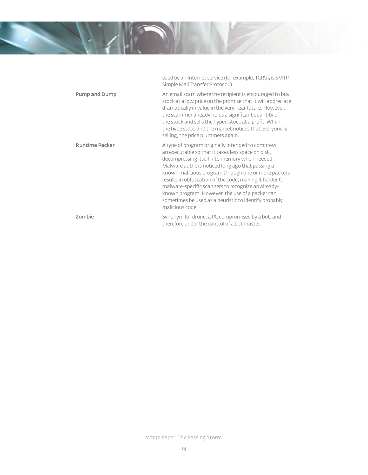

used by an Internet service (for example, TCP/25 is SMTP–

Simple Mail Transfer Protocol.) Pump and Dump **An** email scam where the recipient is encouraged to buy stock at a low price on the promise that it will appreciate dramatically in value in the very near future. However, the scammer already holds a significant quantity of the stock and sells the hyped stock at a profit. When the hype stops and the market notices that everyone is selling, the price plummets again. Runtime Packer **A** type of program originally intended to compress an executable so that it takes less space on disk, decompressing itself into memory when needed. Malware authors noticed long ago that passing a known malicious program through one or more packers results in obfuscation of the code, making it harder for malware-specific scanners to recognize an alreadyknown program. However, the use of a packer can sometimes be used as a heuristic to identify probably malicious code. **Zombie** Synonym for drone: a PC compromised by a bot, and therefore under the control of a bot master.